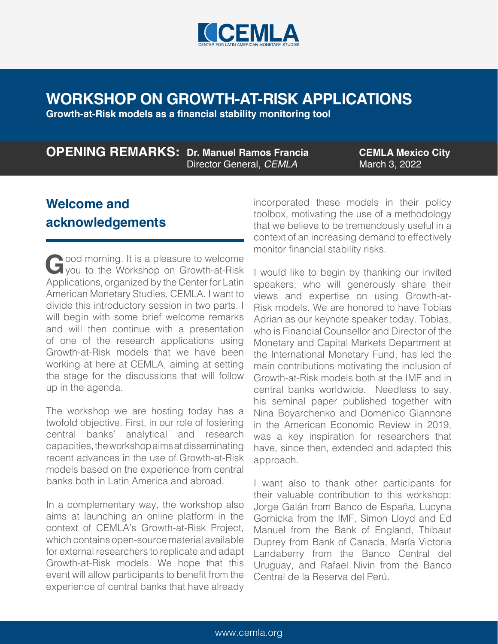

# **WORKSHOP ON GROWTH-AT-RISK APPLICATIONS**

**Growth-at-Risk models as a financial stability monitoring tool**

#### **OPENING REMARKS: Dr. Manuel Ramos Francia** Director General, *CEMLA*

**CEMLA Mexico City** March 3, 2022

## **Welcome and acknowledgements**

Good morning. It is a pleasure to welcome<br>you to the Workshop on Growth-at-Risk<br>Applications examined by the Conterford stip Applications, organized by the Center for Latin American Monetary Studies, CEMLA. I want to divide this introductory session in two parts. I will begin with some brief welcome remarks and will then continue with a presentation of one of the research applications using Growth-at-Risk models that we have been working at here at CEMLA, aiming at setting the stage for the discussions that will follow up in the agenda.

The workshop we are hosting today has a twofold objective. First, in our role of fostering central banks' analytical and research capacities, the workshop aims at disseminating recent advances in the use of Growth-at-Risk models based on the experience from central banks both in Latin America and abroad.

In a complementary way, the workshop also aims at launching an online platform in the context of CEMLA's Growth-at-Risk Project, which contains open-source material available for external researchers to replicate and adapt Growth-at-Risk models. We hope that this event will allow participants to benefit from the experience of central banks that have already incorporated these models in their policy toolbox, motivating the use of a methodology that we believe to be tremendously useful in a context of an increasing demand to effectively monitor financial stability risks.

I would like to begin by thanking our invited speakers, who will generously share their views and expertise on using Growth-at-Risk models. We are honored to have Tobias Adrian as our keynote speaker today. Tobias, who is Financial Counsellor and Director of the Monetary and Capital Markets Department at the International Monetary Fund, has led the main contributions motivating the inclusion of Growth-at-Risk models both at the IMF and in central banks worldwide. Needless to say, his seminal paper published together with Nina Boyarchenko and Domenico Giannone in the American Economic Review in 2019, was a key inspiration for researchers that have, since then, extended and adapted this approach.

I want also to thank other participants for their valuable contribution to this workshop: Jorge Galán from Banco de España, Lucyna Gornicka from the IMF, Simon Lloyd and Ed Manuel from the Bank of England, Thibaut Duprey from Bank of Canada, María Victoria Landaberry from the Banco Central del Uruguay, and Rafael Nivin from the Banco Central de la Reserva del Perú.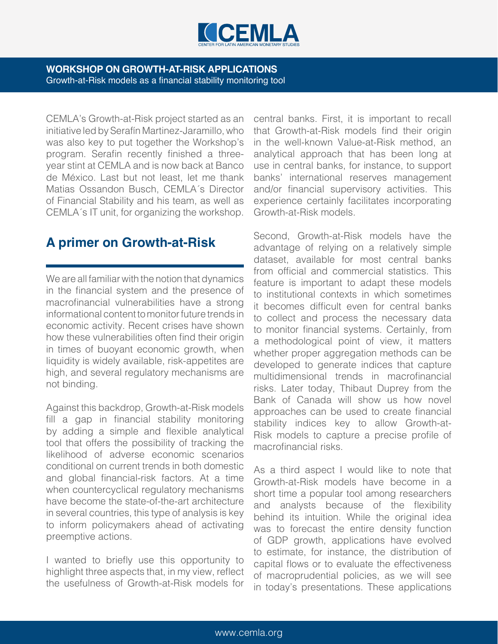

#### **WORKSHOP ON GROWTH-AT-RISK APPLICATIONS** Growth-at-Risk models as a financial stability monitoring tool

CEMLA's Growth-at-Risk project started as an initiative led by Serafín Martinez-Jaramillo, who was also key to put together the Workshop's program. Serafin recently finished a threeyear stint at CEMLA and is now back at Banco de México. Last but not least, let me thank Matias Ossandon Busch, CEMLA´s Director of Financial Stability and his team, as well as CEMLA´s IT unit, for organizing the workshop.

## **A primer on Growth-at-Risk**

We are all familiar with the notion that dynamics in the financial system and the presence of macrofinancial vulnerabilities have a strong informational content to monitor future trends in economic activity. Recent crises have shown how these vulnerabilities often find their origin in times of buoyant economic growth, when liquidity is widely available, risk-appetites are high, and several regulatory mechanisms are not binding.

Against this backdrop, Growth-at-Risk models fill a gap in financial stability monitoring by adding a simple and flexible analytical tool that offers the possibility of tracking the likelihood of adverse economic scenarios conditional on current trends in both domestic and global financial-risk factors. At a time when countercyclical regulatory mechanisms have become the state-of-the-art architecture in several countries, this type of analysis is key to inform policymakers ahead of activating preemptive actions.

I wanted to briefly use this opportunity to highlight three aspects that, in my view, reflect the usefulness of Growth-at-Risk models for central banks. First, it is important to recall that Growth-at-Risk models find their origin in the well-known Value-at-Risk method, an analytical approach that has been long at use in central banks, for instance, to support banks' international reserves management and/or financial supervisory activities. This experience certainly facilitates incorporating Growth-at-Risk models.

Second, Growth-at-Risk models have the advantage of relying on a relatively simple dataset, available for most central banks from official and commercial statistics. This feature is important to adapt these models to institutional contexts in which sometimes it becomes difficult even for central banks to collect and process the necessary data to monitor financial systems. Certainly, from a methodological point of view, it matters whether proper aggregation methods can be developed to generate indices that capture multidimensional trends in macrofinancial risks. Later today, Thibaut Duprey from the Bank of Canada will show us how novel approaches can be used to create financial stability indices key to allow Growth-at-Risk models to capture a precise profile of macrofinancial risks.

As a third aspect I would like to note that Growth-at-Risk models have become in a short time a popular tool among researchers and analysts because of the flexibility behind its intuition. While the original idea was to forecast the entire density function of GDP growth, applications have evolved to estimate, for instance, the distribution of capital flows or to evaluate the effectiveness of macroprudential policies, as we will see in today's presentations. These applications